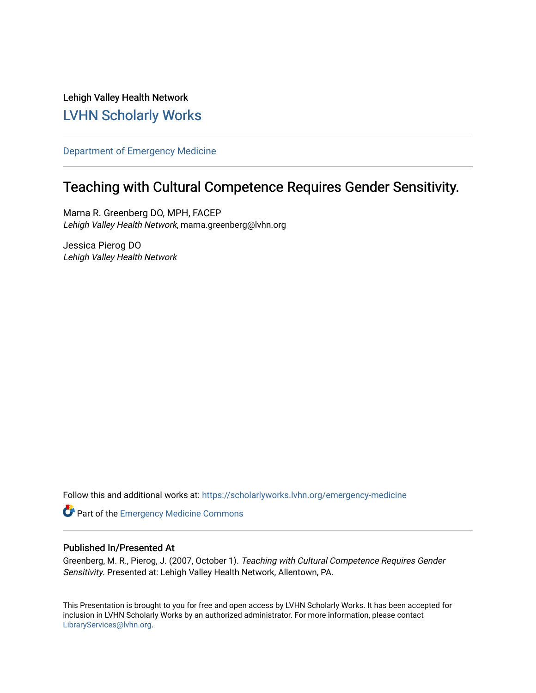Lehigh Valley Health Network [LVHN Scholarly Works](https://scholarlyworks.lvhn.org/)

[Department of Emergency Medicine](https://scholarlyworks.lvhn.org/emergency-medicine)

#### Teaching with Cultural Competence Requires Gender Sensitivity.

Marna R. Greenberg DO, MPH, FACEP Lehigh Valley Health Network, marna.greenberg@lvhn.org

Jessica Pierog DO Lehigh Valley Health Network

Follow this and additional works at: [https://scholarlyworks.lvhn.org/emergency-medicine](https://scholarlyworks.lvhn.org/emergency-medicine?utm_source=scholarlyworks.lvhn.org%2Femergency-medicine%2F473&utm_medium=PDF&utm_campaign=PDFCoverPages) 

Part of the [Emergency Medicine Commons](https://network.bepress.com/hgg/discipline/685?utm_source=scholarlyworks.lvhn.org%2Femergency-medicine%2F473&utm_medium=PDF&utm_campaign=PDFCoverPages)

#### Published In/Presented At

Greenberg, M. R., Pierog, J. (2007, October 1). Teaching with Cultural Competence Requires Gender Sensitivity. Presented at: Lehigh Valley Health Network, Allentown, PA.

This Presentation is brought to you for free and open access by LVHN Scholarly Works. It has been accepted for inclusion in LVHN Scholarly Works by an authorized administrator. For more information, please contact [LibraryServices@lvhn.org](mailto:LibraryServices@lvhn.org).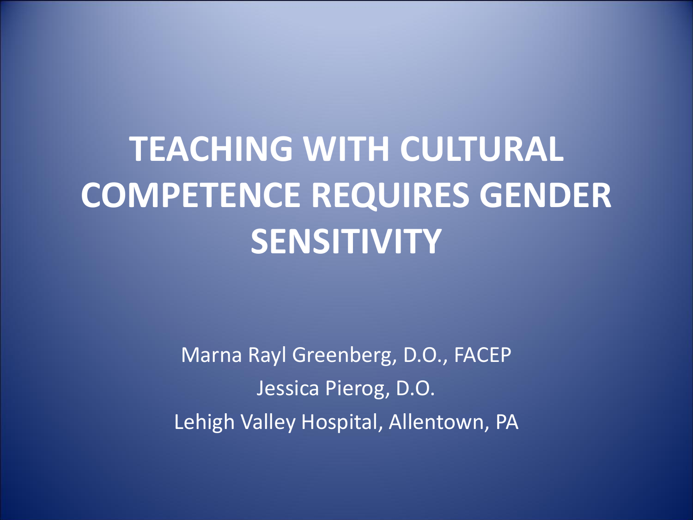# **TEACHING WITH CULTURAL COMPETENCE REQUIRES GENDER SENSITIVITY**

Marna Rayl Greenberg, D.O., FACEP Jessica Pierog, D.O. Lehigh Valley Hospital, Allentown, PA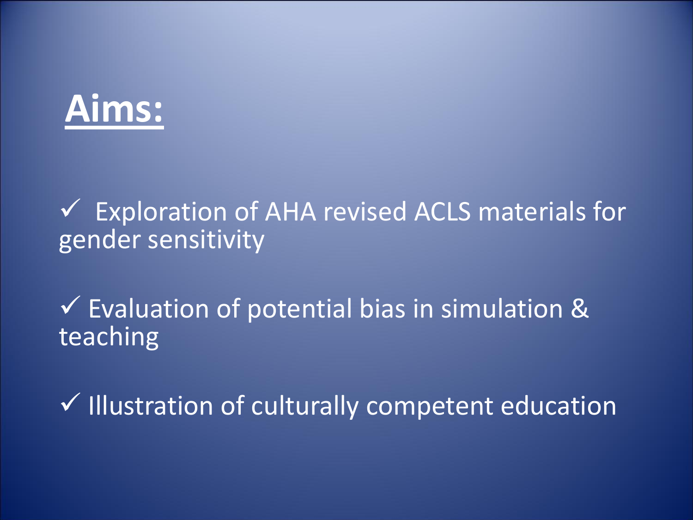

 Exploration of AHA revised ACLS materials for gender sensitivity

 $\checkmark$  Evaluation of potential bias in simulation & teaching

 $\checkmark$  Illustration of culturally competent education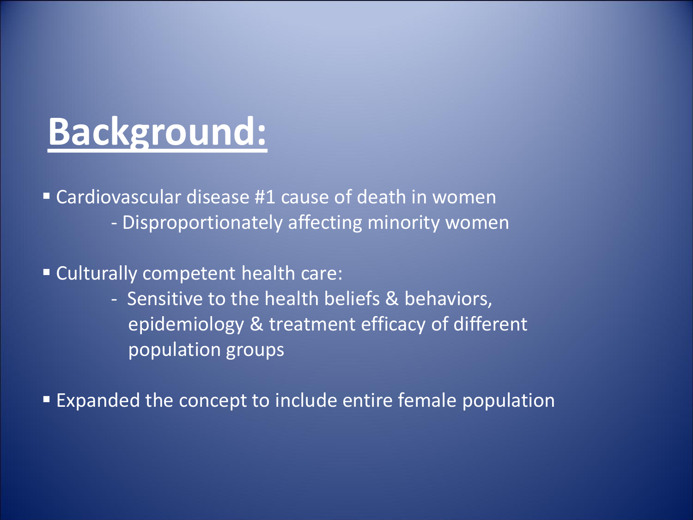## **Background:**

 Cardiovascular disease #1 cause of death in women - Disproportionately affecting minority women

Culturally competent health care:

- Sensitive to the health beliefs & behaviors, epidemiology & treatment efficacy of different population groups

Expanded the concept to include entire female population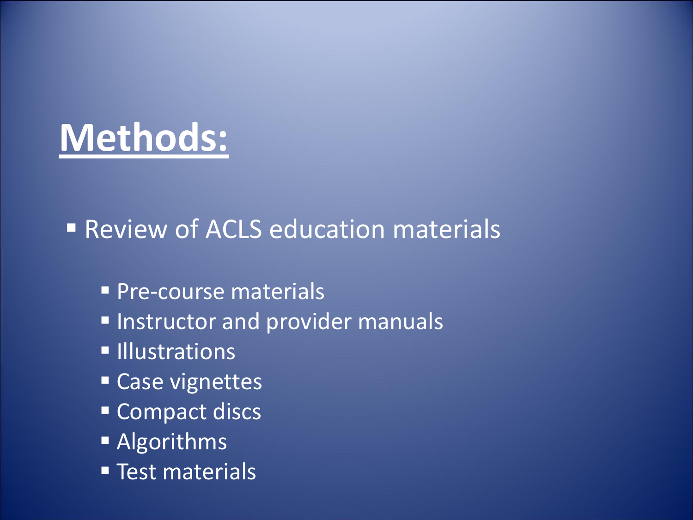# **Methods:**

■ Review of ACLS education materials

- **Pre-course materials**
- **Instructor and provider manuals**
- **Illustrations**
- **Case vignettes**
- Compact discs
- **Algorithms**
- **Test materials**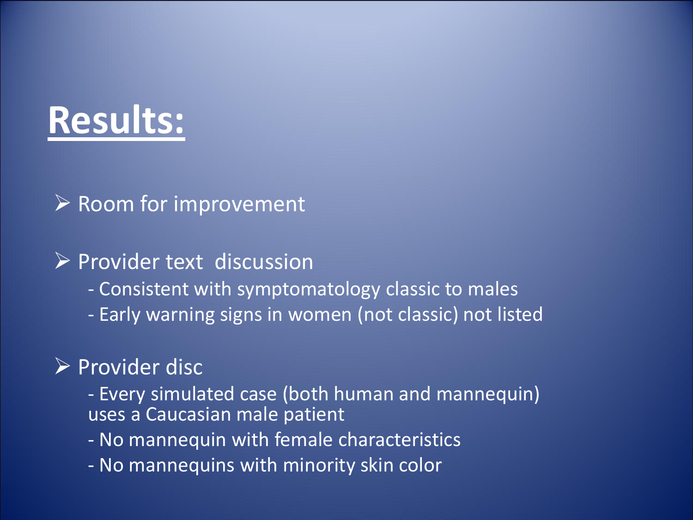## **Results:**

### $\triangleright$  Room for improvement

### $\triangleright$  Provider text discussion

- Consistent with symptomatology classic to males
- Early warning signs in women (not classic) not listed

### $\triangleright$  Provider disc

- Every simulated case (both human and mannequin) uses a Caucasian male patient
- No mannequin with female characteristics
- No mannequins with minority skin color